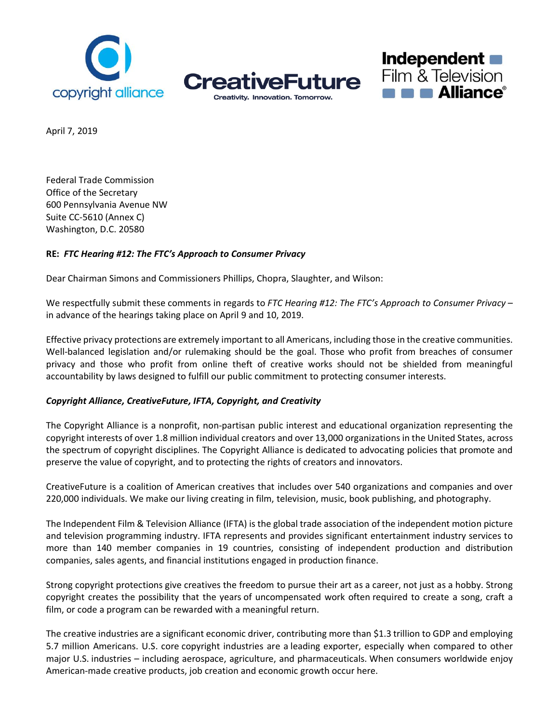





April 7, 2019

Federal Trade Commission Office of the Secretary 600 Pennsylvania Avenue NW Suite CC-5610 (Annex C) Washington, D.C. 20580

## **RE:** *FTC Hearing #12: The FTC's Approach to Consumer Privacy*

Dear Chairman Simons and Commissioners Phillips, Chopra, Slaughter, and Wilson:

We respectfully submit these comments in regards to *FTC Hearing #12: The FTC's Approach to Consumer Privacy* – in advance of the hearings taking place on April 9 and 10, 2019.

Effective privacy protections are extremely important to all Americans, including those in the creative communities. Well-balanced legislation and/or rulemaking should be the goal. Those who profit from breaches of consumer privacy and those who profit from online theft of creative works should not be shielded from meaningful accountability by laws designed to fulfill our public commitment to protecting consumer interests.

## *Copyright Alliance, CreativeFuture, IFTA, Copyright, and Creativity*

The Copyright Alliance is a nonprofit, non-partisan public interest and educational organization representing the copyright interests of over 1.8 million individual creators and over 13,000 organizations in the United States, across the spectrum of copyright disciplines. The Copyright Alliance is dedicated to advocating policies that promote and preserve the value of copyright, and to protecting the rights of creators and innovators.

CreativeFuture is a coalition of American creatives that includes over 540 organizations and companies and over 220,000 individuals. We make our living creating in film, television, music, book publishing, and photography.

The Independent Film & Television Alliance (IFTA) is the global trade association of the independent motion picture and television programming industry. IFTA represents and provides significant entertainment industry services to more than 140 member companies in 19 countries, consisting of independent production and distribution companies, sales agents, and financial institutions engaged in production finance.

Strong copyright protections give creatives the freedom to pursue their art as a career, not just as a hobby. Strong copyright creates the possibility that the years of uncompensated work often required to create a song, craft a film, or code a program can be rewarded with a meaningful return.

The creative industries are a significant economic driver, contributing more than \$1.3 trillion to GDP and employing 5.7 million Americans. U.S. core copyright industries are a leading exporter, especially when compared to other major U.S. industries – including aerospace, agriculture, and pharmaceuticals. When consumers worldwide enjoy American-made creative products, job creation and economic growth occur here.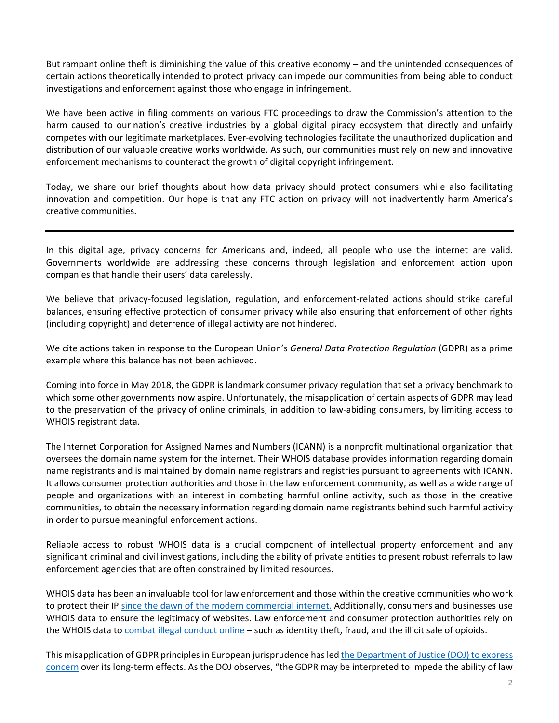But rampant online theft is diminishing the value of this creative economy – and the unintended consequences of certain actions theoretically intended to protect privacy can impede our communities from being able to conduct investigations and enforcement against those who engage in infringement.

We have been active in filing comments on various FTC proceedings to draw the Commission's attention to the harm caused to our nation's creative industries by a global digital piracy ecosystem that directly and unfairly competes with our legitimate marketplaces. Ever-evolving technologies facilitate the unauthorized duplication and distribution of our valuable creative works worldwide. As such, our communities must rely on new and innovative enforcement mechanisms to counteract the growth of digital copyright infringement.

Today, we share our brief thoughts about how data privacy should protect consumers while also facilitating innovation and competition. Our hope is that any FTC action on privacy will not inadvertently harm America's creative communities.

In this digital age, privacy concerns for Americans and, indeed, all people who use the internet are valid. Governments worldwide are addressing these concerns through legislation and enforcement action upon companies that handle their users' data carelessly.

We believe that privacy-focused legislation, regulation, and enforcement-related actions should strike careful balances, ensuring effective protection of consumer privacy while also ensuring that enforcement of other rights (including copyright) and deterrence of illegal activity are not hindered.

We cite actions taken in response to the European Union's *General Data Protection Regulation* (GDPR) as a prime example where this balance has not been achieved.

Coming into force in May 2018, the GDPR is landmark consumer privacy regulation that set a privacy benchmark to which some other governments now aspire. Unfortunately, the misapplication of certain aspects of GDPR may lead to the preservation of the privacy of online criminals, in addition to law-abiding consumers, by limiting access to WHOIS registrant data.

The Internet Corporation for Assigned Names and Numbers (ICANN) is a nonprofit multinational organization that oversees the domain name system for the internet. Their WHOIS database provides information regarding domain name registrants and is maintained by domain name registrars and registries pursuant to agreements with ICANN. It allows consumer protection authorities and those in the law enforcement community, as well as a wide range of people and organizations with an interest in combating harmful online activity, such as those in the creative communities, to obtain the necessary information regarding domain name registrants behind such harmful activity in order to pursue meaningful enforcement actions.

Reliable access to robust WHOIS data is a crucial component of intellectual property enforcement and any significant criminal and civil investigations, including the ability of private entities to present robust referrals to law enforcement agencies that are often constrained by limited resources.

WHOIS data has been an invaluable tool for law enforcement and those within the creative communities who work to protect their IP since the dawn of the modern [commercial](https://whois.icann.org/en/history-whois) internet. Additionally, consumers and businesses use WHOIS data to ensure the legitimacy of websites. Law enforcement and consumer protection authorities rely on the WHOIS data to combat illegal [conduct](https://www.justice.gov/usao-or/pr/nationwide-sting-operation-targets-illegal-asian-brothels-six-indicted-racketeering) online – such as identity theft, fraud, and the illicit sale of opioids.

This misapplication of GDPR principles in European jurisprudence hasled the [Department](https://www.justice.gov/ag/page/file/1076696/download) of Justice (DOJ) to express [concern](https://www.justice.gov/ag/page/file/1076696/download) over its long-term effects. As the DOJ observes, "the GDPR may be interpreted to impede the ability of law